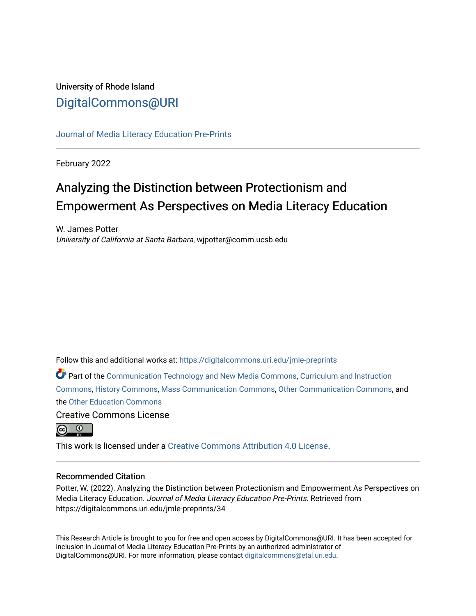# University of Rhode Island [DigitalCommons@URI](https://digitalcommons.uri.edu/)

[Journal of Media Literacy Education Pre-Prints](https://digitalcommons.uri.edu/jmle-preprints)

February 2022

# Analyzing the Distinction between Protectionism and Empowerment As Perspectives on Media Literacy Education

W. James Potter University of California at Santa Barbara, wjpotter@comm.ucsb.edu

Follow this and additional works at: [https://digitalcommons.uri.edu/jmle-preprints](https://digitalcommons.uri.edu/jmle-preprints?utm_source=digitalcommons.uri.edu%2Fjmle-preprints%2F34&utm_medium=PDF&utm_campaign=PDFCoverPages) 

Part of the [Communication Technology and New Media Commons,](http://network.bepress.com/hgg/discipline/327?utm_source=digitalcommons.uri.edu%2Fjmle-preprints%2F34&utm_medium=PDF&utm_campaign=PDFCoverPages) [Curriculum and Instruction](http://network.bepress.com/hgg/discipline/786?utm_source=digitalcommons.uri.edu%2Fjmle-preprints%2F34&utm_medium=PDF&utm_campaign=PDFCoverPages) [Commons](http://network.bepress.com/hgg/discipline/786?utm_source=digitalcommons.uri.edu%2Fjmle-preprints%2F34&utm_medium=PDF&utm_campaign=PDFCoverPages), [History Commons,](http://network.bepress.com/hgg/discipline/489?utm_source=digitalcommons.uri.edu%2Fjmle-preprints%2F34&utm_medium=PDF&utm_campaign=PDFCoverPages) [Mass Communication Commons,](http://network.bepress.com/hgg/discipline/334?utm_source=digitalcommons.uri.edu%2Fjmle-preprints%2F34&utm_medium=PDF&utm_campaign=PDFCoverPages) [Other Communication Commons](http://network.bepress.com/hgg/discipline/339?utm_source=digitalcommons.uri.edu%2Fjmle-preprints%2F34&utm_medium=PDF&utm_campaign=PDFCoverPages), and the [Other Education Commons](http://network.bepress.com/hgg/discipline/811?utm_source=digitalcommons.uri.edu%2Fjmle-preprints%2F34&utm_medium=PDF&utm_campaign=PDFCoverPages)

Creative Commons License



This work is licensed under a [Creative Commons Attribution 4.0 License](https://creativecommons.org/licenses/by/4.0/).

# Recommended Citation

Potter, W. (2022). Analyzing the Distinction between Protectionism and Empowerment As Perspectives on Media Literacy Education. Journal of Media Literacy Education Pre-Prints. Retrieved from https://digitalcommons.uri.edu/jmle-preprints/34

This Research Article is brought to you for free and open access by DigitalCommons@URI. It has been accepted for inclusion in Journal of Media Literacy Education Pre-Prints by an authorized administrator of DigitalCommons@URI. For more information, please contact [digitalcommons@etal.uri.edu.](mailto:digitalcommons@etal.uri.edu)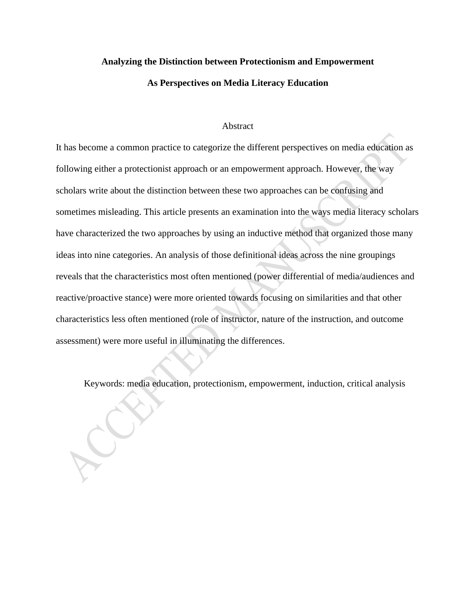#### **Analyzing the Distinction between Protectionism and Empowerment**

#### **As Perspectives on Media Literacy Education**

#### Abstract

It has become a common practice to categorize the different perspectives on media education as following either a protectionist approach or an empowerment approach. However, the way scholars write about the distinction between these two approaches can be confusing and sometimes misleading. This article presents an examination into the ways media literacy scholars have characterized the two approaches by using an inductive method that organized those many ideas into nine categories. An analysis of those definitional ideas across the nine groupings reveals that the characteristics most often mentioned (power differential of media/audiences and reactive/proactive stance) were more oriented towards focusing on similarities and that other characteristics less often mentioned (role of instructor, nature of the instruction, and outcome assessment) were more useful in illuminating the differences.

Keywords: media education, protectionism, empowerment, induction, critical analysis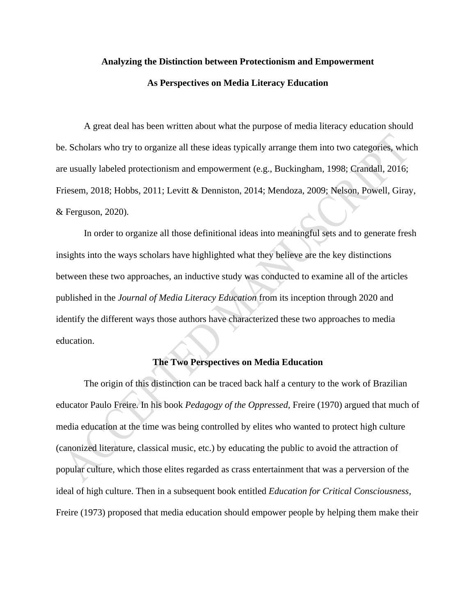# **Analyzing the Distinction between Protectionism and Empowerment**

#### **As Perspectives on Media Literacy Education**

A great deal has been written about what the purpose of media literacy education should be. Scholars who try to organize all these ideas typically arrange them into two categories, which are usually labeled protectionism and empowerment (e.g., Buckingham, 1998; Crandall, 2016; Friesem, 2018; Hobbs, 2011; Levitt & Denniston, 2014; Mendoza, 2009; Nelson, Powell, Giray, & Ferguson, 2020).

In order to organize all those definitional ideas into meaningful sets and to generate fresh insights into the ways scholars have highlighted what they believe are the key distinctions between these two approaches, an inductive study was conducted to examine all of the articles published in the *Journal of Media Literacy Education* from its inception through 2020 and identify the different ways those authors have characterized these two approaches to media education.

# **The Two Perspectives on Media Education**

The origin of this distinction can be traced back half a century to the work of Brazilian educator Paulo Freire. In his book *Pedagogy of the Oppressed,* Freire (1970) argued that much of media education at the time was being controlled by elites who wanted to protect high culture (canonized literature, classical music, etc.) by educating the public to avoid the attraction of popular culture, which those elites regarded as crass entertainment that was a perversion of the ideal of high culture. Then in a subsequent book entitled *Education for Critical Consciousness,* Freire (1973) proposed that media education should empower people by helping them make their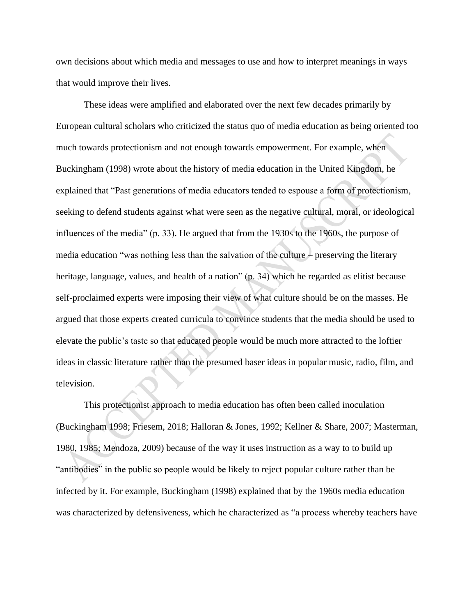own decisions about which media and messages to use and how to interpret meanings in ways that would improve their lives.

These ideas were amplified and elaborated over the next few decades primarily by European cultural scholars who criticized the status quo of media education as being oriented too much towards protectionism and not enough towards empowerment. For example, when Buckingham (1998) wrote about the history of media education in the United Kingdom, he explained that "Past generations of media educators tended to espouse a form of protectionism, seeking to defend students against what were seen as the negative cultural, moral, or ideological influences of the media" (p. 33). He argued that from the 1930s to the 1960s, the purpose of media education "was nothing less than the salvation of the culture – preserving the literary heritage, language, values, and health of a nation" (p. 34) which he regarded as elitist because self-proclaimed experts were imposing their view of what culture should be on the masses. He argued that those experts created curricula to convince students that the media should be used to elevate the public's taste so that educated people would be much more attracted to the loftier ideas in classic literature rather than the presumed baser ideas in popular music, radio, film, and television.

This protectionist approach to media education has often been called inoculation (Buckingham 1998; Friesem, 2018; Halloran & Jones, 1992; Kellner & Share, 2007; Masterman, 1980, 1985; Mendoza, 2009) because of the way it uses instruction as a way to to build up "antibodies" in the public so people would be likely to reject popular culture rather than be infected by it. For example, Buckingham (1998) explained that by the 1960s media education was characterized by defensiveness, which he characterized as "a process whereby teachers have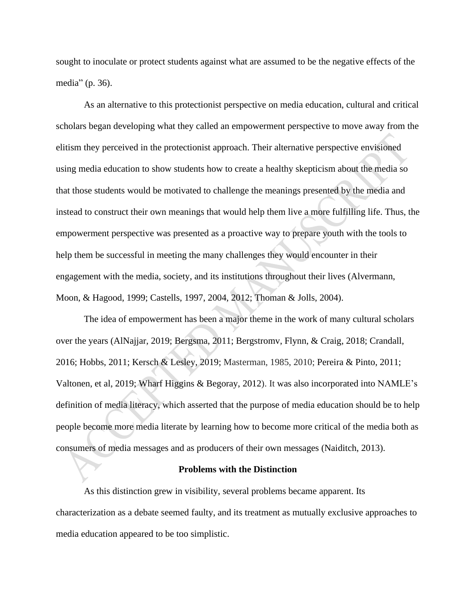sought to inoculate or protect students against what are assumed to be the negative effects of the media" (p. 36).

As an alternative to this protectionist perspective on media education, cultural and critical scholars began developing what they called an empowerment perspective to move away from the elitism they perceived in the protectionist approach. Their alternative perspective envisioned using media education to show students how to create a healthy skepticism about the media so that those students would be motivated to challenge the meanings presented by the media and instead to construct their own meanings that would help them live a more fulfilling life. Thus, the empowerment perspective was presented as a proactive way to prepare youth with the tools to help them be successful in meeting the many challenges they would encounter in their engagement with the media, society, and its institutions throughout their lives (Alvermann, Moon, & Hagood, 1999; Castells, 1997, 2004, 2012; Thoman & Jolls, 2004).

The idea of empowerment has been a major theme in the work of many cultural scholars over the years (AlNajjar, 2019; Bergsma, 2011; Bergstromv, Flynn, & Craig, 2018; Crandall, 2016; Hobbs, 2011; Kersch & Lesley, 2019; Masterman, 1985, 2010; Pereira & Pinto, 2011; Valtonen, et al, 2019; Wharf Higgins & Begoray, 2012). It was also incorporated into NAMLE's definition of media literacy, which asserted that the purpose of media education should be to help people become more media literate by learning how to become more critical of the media both as consumers of media messages and as producers of their own messages (Naiditch, 2013).

#### **Problems with the Distinction**

As this distinction grew in visibility, several problems became apparent. Its characterization as a debate seemed faulty, and its treatment as mutually exclusive approaches to media education appeared to be too simplistic.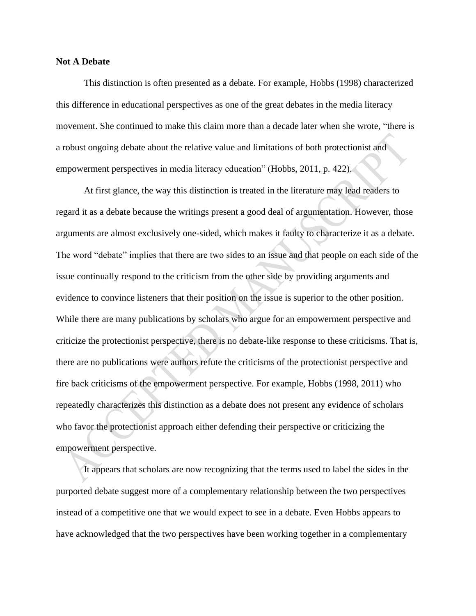#### **Not A Debate**

This distinction is often presented as a debate. For example, Hobbs (1998) characterized this difference in educational perspectives as one of the great debates in the media literacy movement. She continued to make this claim more than a decade later when she wrote, "there is a robust ongoing debate about the relative value and limitations of both protectionist and empowerment perspectives in media literacy education" (Hobbs, 2011, p. 422).

At first glance, the way this distinction is treated in the literature may lead readers to regard it as a debate because the writings present a good deal of argumentation. However, those arguments are almost exclusively one-sided, which makes it faulty to characterize it as a debate. The word "debate" implies that there are two sides to an issue and that people on each side of the issue continually respond to the criticism from the other side by providing arguments and evidence to convince listeners that their position on the issue is superior to the other position. While there are many publications by scholars who argue for an empowerment perspective and criticize the protectionist perspective, there is no debate-like response to these criticisms. That is, there are no publications were authors refute the criticisms of the protectionist perspective and fire back criticisms of the empowerment perspective. For example, Hobbs (1998, 2011) who repeatedly characterizes this distinction as a debate does not present any evidence of scholars who favor the protectionist approach either defending their perspective or criticizing the empowerment perspective.

It appears that scholars are now recognizing that the terms used to label the sides in the purported debate suggest more of a complementary relationship between the two perspectives instead of a competitive one that we would expect to see in a debate. Even Hobbs appears to have acknowledged that the two perspectives have been working together in a complementary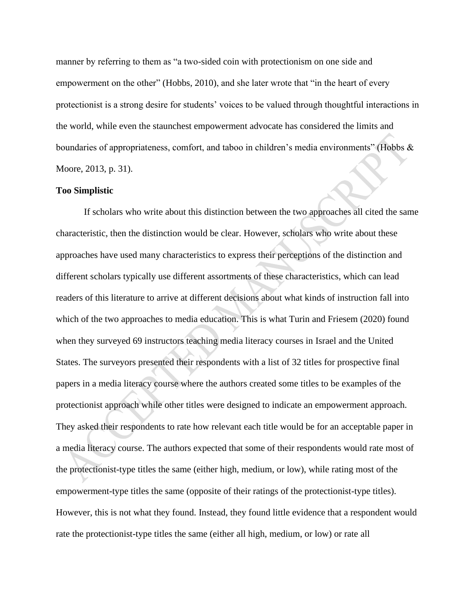manner by referring to them as "a two-sided coin with protectionism on one side and empowerment on the other" (Hobbs, 2010), and she later wrote that "in the heart of every protectionist is a strong desire for students' voices to be valued through thoughtful interactions in the world, while even the staunchest empowerment advocate has considered the limits and boundaries of appropriateness, comfort, and taboo in children's media environments" (Hobbs & Moore, 2013, p. 31).

#### **Too Simplistic**

If scholars who write about this distinction between the two approaches all cited the same characteristic, then the distinction would be clear. However, scholars who write about these approaches have used many characteristics to express their perceptions of the distinction and different scholars typically use different assortments of these characteristics, which can lead readers of this literature to arrive at different decisions about what kinds of instruction fall into which of the two approaches to media education. This is what Turin and Friesem (2020) found when they surveyed 69 instructors teaching media literacy courses in Israel and the United States. The surveyors presented their respondents with a list of 32 titles for prospective final papers in a media literacy course where the authors created some titles to be examples of the protectionist approach while other titles were designed to indicate an empowerment approach. They asked their respondents to rate how relevant each title would be for an acceptable paper in a media literacy course. The authors expected that some of their respondents would rate most of the protectionist-type titles the same (either high, medium, or low), while rating most of the empowerment-type titles the same (opposite of their ratings of the protectionist-type titles). However, this is not what they found. Instead, they found little evidence that a respondent would rate the protectionist-type titles the same (either all high, medium, or low) or rate all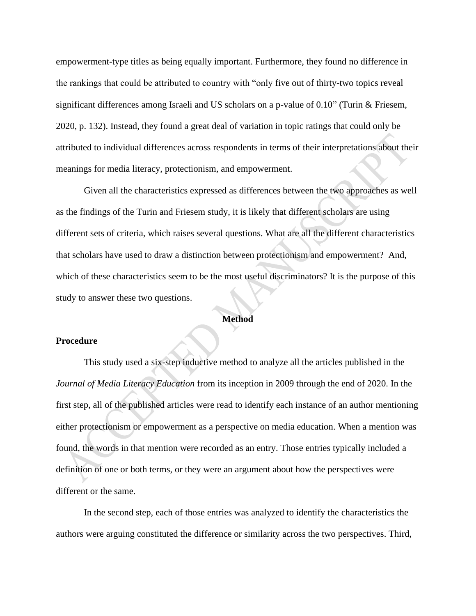empowerment-type titles as being equally important. Furthermore, they found no difference in the rankings that could be attributed to country with "only five out of thirty-two topics reveal significant differences among Israeli and US scholars on a p-value of 0.10" (Turin & Friesem, 2020, p. 132). Instead, they found a great deal of variation in topic ratings that could only be attributed to individual differences across respondents in terms of their interpretations about their meanings for media literacy, protectionism, and empowerment.

Given all the characteristics expressed as differences between the two approaches as well as the findings of the Turin and Friesem study, it is likely that different scholars are using different sets of criteria, which raises several questions. What are all the different characteristics that scholars have used to draw a distinction between protectionism and empowerment? And, which of these characteristics seem to be the most useful discriminators? It is the purpose of this study to answer these two questions.

#### **Method**

#### **Procedure**

This study used a six-step inductive method to analyze all the articles published in the *Journal of Media Literacy Education* from its inception in 2009 through the end of 2020. In the first step, all of the published articles were read to identify each instance of an author mentioning either protectionism or empowerment as a perspective on media education. When a mention was found, the words in that mention were recorded as an entry. Those entries typically included a definition of one or both terms, or they were an argument about how the perspectives were different or the same.

In the second step, each of those entries was analyzed to identify the characteristics the authors were arguing constituted the difference or similarity across the two perspectives. Third,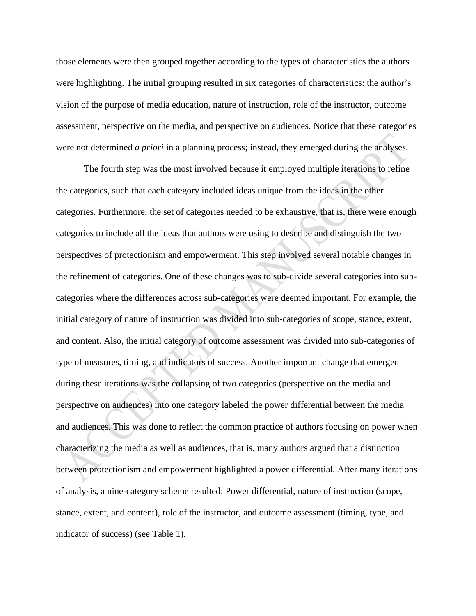those elements were then grouped together according to the types of characteristics the authors were highlighting. The initial grouping resulted in six categories of characteristics: the author's vision of the purpose of media education, nature of instruction, role of the instructor, outcome assessment, perspective on the media, and perspective on audiences. Notice that these categories were not determined *a priori* in a planning process; instead, they emerged during the analyses.

The fourth step was the most involved because it employed multiple iterations to refine the categories, such that each category included ideas unique from the ideas in the other categories. Furthermore, the set of categories needed to be exhaustive, that is, there were enough categories to include all the ideas that authors were using to describe and distinguish the two perspectives of protectionism and empowerment. This step involved several notable changes in the refinement of categories. One of these changes was to sub-divide several categories into subcategories where the differences across sub-categories were deemed important. For example, the initial category of nature of instruction was divided into sub-categories of scope, stance, extent, and content. Also, the initial category of outcome assessment was divided into sub-categories of type of measures, timing, and indicators of success. Another important change that emerged during these iterations was the collapsing of two categories (perspective on the media and perspective on audiences) into one category labeled the power differential between the media and audiences. This was done to reflect the common practice of authors focusing on power when characterizing the media as well as audiences, that is, many authors argued that a distinction between protectionism and empowerment highlighted a power differential. After many iterations of analysis, a nine-category scheme resulted: Power differential, nature of instruction (scope, stance, extent, and content), role of the instructor, and outcome assessment (timing, type, and indicator of success) (see Table 1).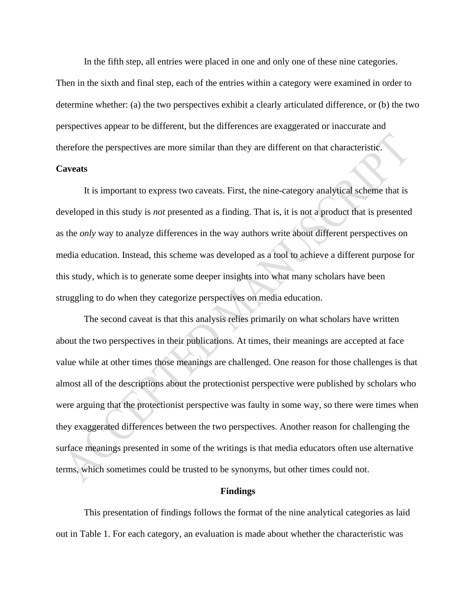In the fifth step, all entries were placed in one and only one of these nine categories. Then in the sixth and final step, each of the entries within a category were examined in order to determine whether: (a) the two perspectives exhibit a clearly articulated difference, or (b) the two perspectives appear to be different, but the differences are exaggerated or inaccurate and therefore the perspectives are more similar than they are different on that characteristic.

#### **Caveats**

It is important to express two caveats. First, the nine-category analytical scheme that is developed in this study is *not* presented as a finding. That is, it is not a product that is presented as the *only* way to analyze differences in the way authors write about different perspectives on media education. Instead, this scheme was developed as a tool to achieve a different purpose for this study, which is to generate some deeper insights into what many scholars have been struggling to do when they categorize perspectives on media education.

The second caveat is that this analysis relies primarily on what scholars have written about the two perspectives in their publications. At times, their meanings are accepted at face value while at other times those meanings are challenged. One reason for those challenges is that almost all of the descriptions about the protectionist perspective were published by scholars who were arguing that the protectionist perspective was faulty in some way, so there were times when they exaggerated differences between the two perspectives. Another reason for challenging the surface meanings presented in some of the writings is that media educators often use alternative terms, which sometimes could be trusted to be synonyms, but other times could not.

#### **Findings**

This presentation of findings follows the format of the nine analytical categories as laid out in Table 1. For each category, an evaluation is made about whether the characteristic was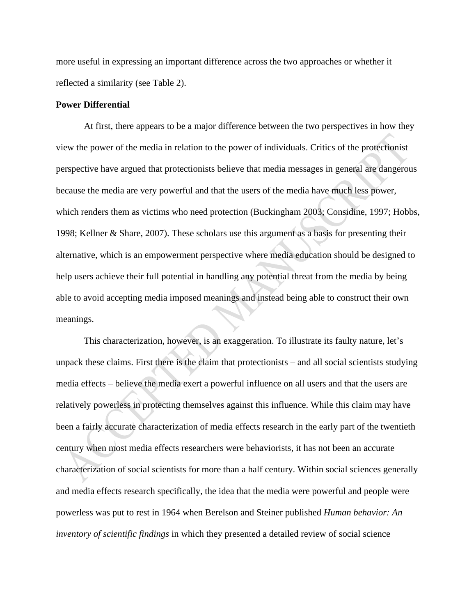more useful in expressing an important difference across the two approaches or whether it reflected a similarity (see Table 2).

#### **Power Differential**

At first, there appears to be a major difference between the two perspectives in how they view the power of the media in relation to the power of individuals. Critics of the protectionist perspective have argued that protectionists believe that media messages in general are dangerous because the media are very powerful and that the users of the media have much less power, which renders them as victims who need protection (Buckingham 2003; Considine, 1997; Hobbs, 1998; Kellner & Share, 2007). These scholars use this argument as a basis for presenting their alternative, which is an empowerment perspective where media education should be designed to help users achieve their full potential in handling any potential threat from the media by being able to avoid accepting media imposed meanings and instead being able to construct their own meanings.

This characterization, however, is an exaggeration. To illustrate its faulty nature, let's unpack these claims. First there is the claim that protectionists – and all social scientists studying media effects – believe the media exert a powerful influence on all users and that the users are relatively powerless in protecting themselves against this influence. While this claim may have been a fairly accurate characterization of media effects research in the early part of the twentieth century when most media effects researchers were behaviorists, it has not been an accurate characterization of social scientists for more than a half century. Within social sciences generally and media effects research specifically, the idea that the media were powerful and people were powerless was put to rest in 1964 when Berelson and Steiner published *Human behavior: An inventory of scientific findings* in which they presented a detailed review of social science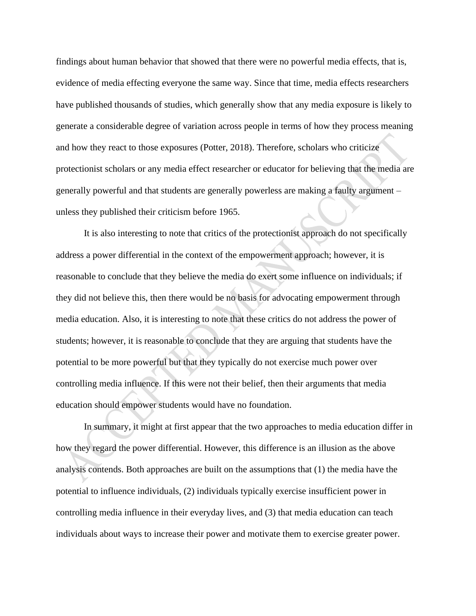findings about human behavior that showed that there were no powerful media effects, that is, evidence of media effecting everyone the same way. Since that time, media effects researchers have published thousands of studies, which generally show that any media exposure is likely to generate a considerable degree of variation across people in terms of how they process meaning and how they react to those exposures (Potter, 2018). Therefore, scholars who criticize protectionist scholars or any media effect researcher or educator for believing that the media are generally powerful and that students are generally powerless are making a faulty argument – unless they published their criticism before 1965.

It is also interesting to note that critics of the protectionist approach do not specifically address a power differential in the context of the empowerment approach; however, it is reasonable to conclude that they believe the media do exert some influence on individuals; if they did not believe this, then there would be no basis for advocating empowerment through media education. Also, it is interesting to note that these critics do not address the power of students; however, it is reasonable to conclude that they are arguing that students have the potential to be more powerful but that they typically do not exercise much power over controlling media influence. If this were not their belief, then their arguments that media education should empower students would have no foundation.

In summary, it might at first appear that the two approaches to media education differ in how they regard the power differential. However, this difference is an illusion as the above analysis contends. Both approaches are built on the assumptions that (1) the media have the potential to influence individuals, (2) individuals typically exercise insufficient power in controlling media influence in their everyday lives, and (3) that media education can teach individuals about ways to increase their power and motivate them to exercise greater power.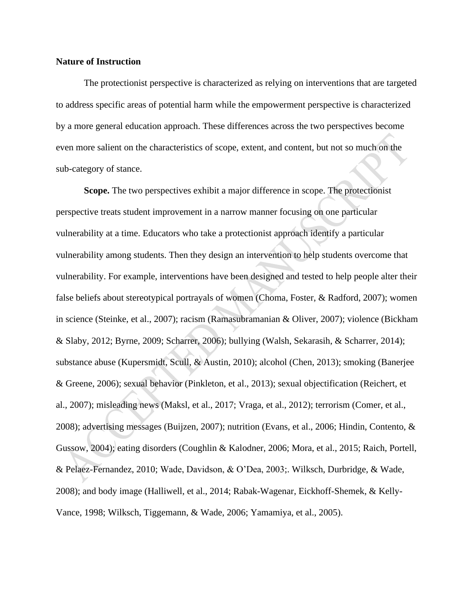#### **Nature of Instruction**

The protectionist perspective is characterized as relying on interventions that are targeted to address specific areas of potential harm while the empowerment perspective is characterized by a more general education approach. These differences across the two perspectives become even more salient on the characteristics of scope, extent, and content, but not so much on the sub-category of stance.

**Scope.** The two perspectives exhibit a major difference in scope. The protectionist perspective treats student improvement in a narrow manner focusing on one particular vulnerability at a time. Educators who take a protectionist approach identify a particular vulnerability among students. Then they design an intervention to help students overcome that vulnerability. For example, interventions have been designed and tested to help people alter their false beliefs about stereotypical portrayals of women (Choma, Foster, & Radford, 2007); women in science (Steinke, et al., 2007); racism (Ramasubramanian & Oliver, 2007); violence (Bickham & Slaby, 2012; Byrne, 2009; Scharrer, 2006); bullying (Walsh, Sekarasih, & Scharrer, 2014); substance abuse (Kupersmidt, Scull, & Austin, 2010); alcohol (Chen, 2013); smoking (Banerjee & Greene, 2006); sexual behavior (Pinkleton, et al., 2013); sexual objectification (Reichert, et al., 2007); misleading news (Maksl, et al., 2017; Vraga, et al., 2012); terrorism (Comer, et al., 2008); advertising messages (Buijzen, 2007); nutrition (Evans, et al., 2006; Hindin, Contento, & Gussow, 2004); eating disorders (Coughlin & Kalodner, 2006; Mora, et al., 2015; Raich, Portell, & Pelaez-Fernandez, 2010; Wade, Davidson, & O'Dea, 2003;. Wilksch, Durbridge, & Wade, 2008); and body image (Halliwell, et al., 2014; Rabak-Wagenar, Eickhoff-Shemek, & Kelly-Vance, 1998; Wilksch, Tiggemann, & Wade, 2006; Yamamiya, et al., 2005).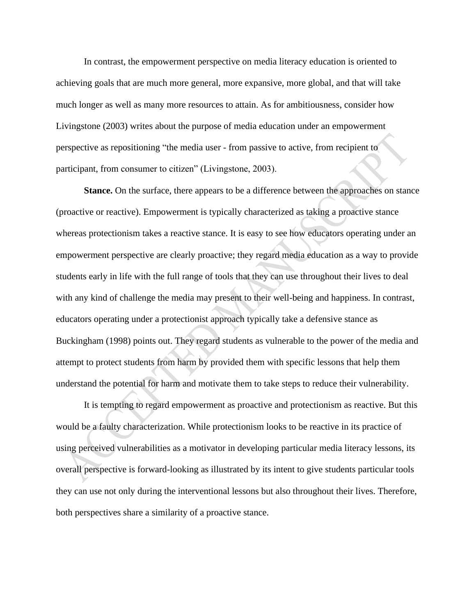In contrast, the empowerment perspective on media literacy education is oriented to achieving goals that are much more general, more expansive, more global, and that will take much longer as well as many more resources to attain. As for ambitiousness, consider how Livingstone (2003) writes about the purpose of media education under an empowerment perspective as repositioning "the media user - from passive to active, from recipient to participant, from consumer to citizen" (Livingstone, 2003).

**Stance.** On the surface, there appears to be a difference between the approaches on stance (proactive or reactive). Empowerment is typically characterized as taking a proactive stance whereas protectionism takes a reactive stance. It is easy to see how educators operating under an empowerment perspective are clearly proactive; they regard media education as a way to provide students early in life with the full range of tools that they can use throughout their lives to deal with any kind of challenge the media may present to their well-being and happiness. In contrast, educators operating under a protectionist approach typically take a defensive stance as Buckingham (1998) points out. They regard students as vulnerable to the power of the media and attempt to protect students from harm by provided them with specific lessons that help them understand the potential for harm and motivate them to take steps to reduce their vulnerability.

It is tempting to regard empowerment as proactive and protectionism as reactive. But this would be a faulty characterization. While protectionism looks to be reactive in its practice of using perceived vulnerabilities as a motivator in developing particular media literacy lessons, its overall perspective is forward-looking as illustrated by its intent to give students particular tools they can use not only during the interventional lessons but also throughout their lives. Therefore, both perspectives share a similarity of a proactive stance.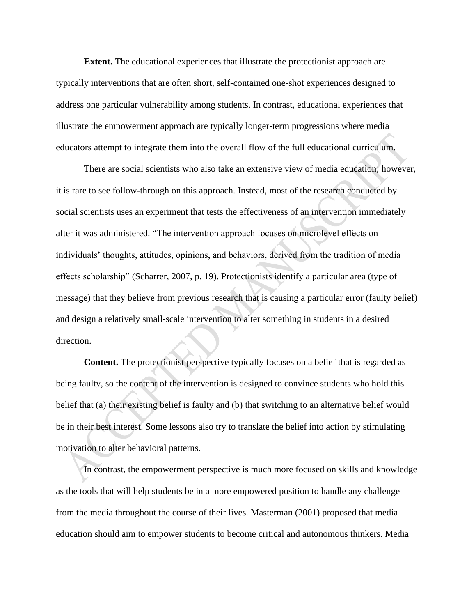**Extent.** The educational experiences that illustrate the protectionist approach are typically interventions that are often short, self-contained one-shot experiences designed to address one particular vulnerability among students. In contrast, educational experiences that illustrate the empowerment approach are typically longer-term progressions where media educators attempt to integrate them into the overall flow of the full educational curriculum.

There are social scientists who also take an extensive view of media education; however, it is rare to see follow-through on this approach. Instead, most of the research conducted by social scientists uses an experiment that tests the effectiveness of an intervention immediately after it was administered. "The intervention approach focuses on microlevel effects on individuals' thoughts, attitudes, opinions, and behaviors, derived from the tradition of media effects scholarship" (Scharrer, 2007, p. 19). Protectionists identify a particular area (type of message) that they believe from previous research that is causing a particular error (faulty belief) and design a relatively small-scale intervention to alter something in students in a desired direction.

**Content.** The protectionist perspective typically focuses on a belief that is regarded as being faulty, so the content of the intervention is designed to convince students who hold this belief that (a) their existing belief is faulty and (b) that switching to an alternative belief would be in their best interest. Some lessons also try to translate the belief into action by stimulating motivation to alter behavioral patterns.

In contrast, the empowerment perspective is much more focused on skills and knowledge as the tools that will help students be in a more empowered position to handle any challenge from the media throughout the course of their lives. Masterman (2001) proposed that media education should aim to empower students to become critical and autonomous thinkers. Media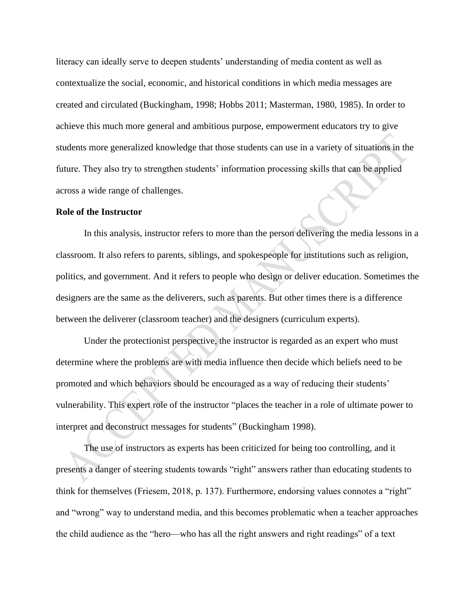literacy can ideally serve to deepen students' understanding of media content as well as contextualize the social, economic, and historical conditions in which media messages are created and circulated (Buckingham, 1998; Hobbs 2011; Masterman, 1980, 1985). In order to achieve this much more general and ambitious purpose, empowerment educators try to give students more generalized knowledge that those students can use in a variety of situations in the future. They also try to strengthen students' information processing skills that can be applied across a wide range of challenges.

#### **Role of the Instructor**

In this analysis, instructor refers to more than the person delivering the media lessons in a classroom. It also refers to parents, siblings, and spokespeople for institutions such as religion, politics, and government. And it refers to people who design or deliver education. Sometimes the designers are the same as the deliverers, such as parents. But other times there is a difference between the deliverer (classroom teacher) and the designers (curriculum experts).

Under the protectionist perspective, the instructor is regarded as an expert who must determine where the problems are with media influence then decide which beliefs need to be promoted and which behaviors should be encouraged as a way of reducing their students' vulnerability. This expert role of the instructor "places the teacher in a role of ultimate power to interpret and deconstruct messages for students" (Buckingham 1998).

The use of instructors as experts has been criticized for being too controlling, and it presents a danger of steering students towards "right" answers rather than educating students to think for themselves (Friesem, 2018, p. 137). Furthermore, endorsing values connotes a "right" and "wrong" way to understand media, and this becomes problematic when a teacher approaches the child audience as the "hero—who has all the right answers and right readings" of a text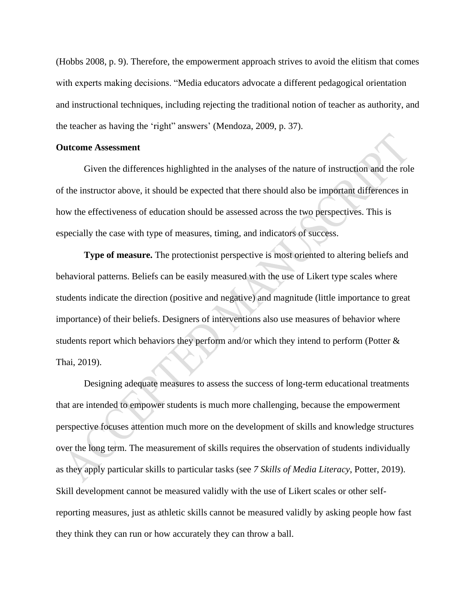(Hobbs 2008, p. 9). Therefore, the empowerment approach strives to avoid the elitism that comes with experts making decisions. "Media educators advocate a different pedagogical orientation and instructional techniques, including rejecting the traditional notion of teacher as authority, and the teacher as having the 'right" answers' (Mendoza, 2009, p. 37).

#### **Outcome Assessment**

Given the differences highlighted in the analyses of the nature of instruction and the role of the instructor above, it should be expected that there should also be important differences in how the effectiveness of education should be assessed across the two perspectives. This is especially the case with type of measures, timing, and indicators of success.

**Type of measure.** The protectionist perspective is most oriented to altering beliefs and behavioral patterns. Beliefs can be easily measured with the use of Likert type scales where students indicate the direction (positive and negative) and magnitude (little importance to great importance) of their beliefs. Designers of interventions also use measures of behavior where students report which behaviors they perform and/or which they intend to perform (Potter & Thai, 2019).

Designing adequate measures to assess the success of long-term educational treatments that are intended to empower students is much more challenging, because the empowerment perspective focuses attention much more on the development of skills and knowledge structures over the long term. The measurement of skills requires the observation of students individually as they apply particular skills to particular tasks (see *7 Skills of Media Literacy*, Potter, 2019). Skill development cannot be measured validly with the use of Likert scales or other selfreporting measures, just as athletic skills cannot be measured validly by asking people how fast they think they can run or how accurately they can throw a ball.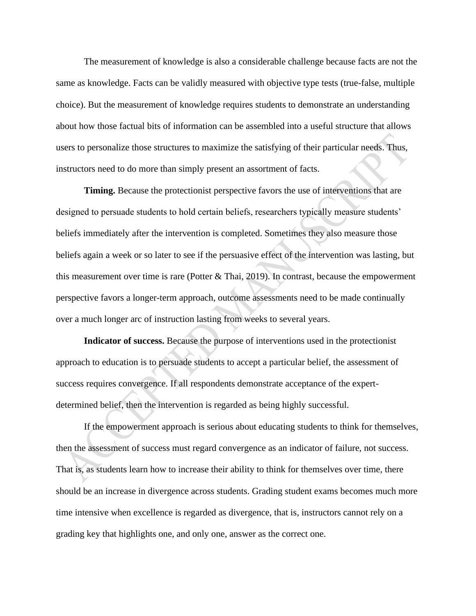The measurement of knowledge is also a considerable challenge because facts are not the same as knowledge. Facts can be validly measured with objective type tests (true-false, multiple choice). But the measurement of knowledge requires students to demonstrate an understanding about how those factual bits of information can be assembled into a useful structure that allows users to personalize those structures to maximize the satisfying of their particular needs. Thus, instructors need to do more than simply present an assortment of facts.

**Timing.** Because the protectionist perspective favors the use of interventions that are designed to persuade students to hold certain beliefs, researchers typically measure students' beliefs immediately after the intervention is completed. Sometimes they also measure those beliefs again a week or so later to see if the persuasive effect of the intervention was lasting, but this measurement over time is rare (Potter  $&$  Thai, 2019). In contrast, because the empowerment perspective favors a longer-term approach, outcome assessments need to be made continually over a much longer arc of instruction lasting from weeks to several years.

**Indicator of success.** Because the purpose of interventions used in the protectionist approach to education is to persuade students to accept a particular belief, the assessment of success requires convergence. If all respondents demonstrate acceptance of the expertdetermined belief, then the intervention is regarded as being highly successful.

If the empowerment approach is serious about educating students to think for themselves, then the assessment of success must regard convergence as an indicator of failure, not success. That is, as students learn how to increase their ability to think for themselves over time, there should be an increase in divergence across students. Grading student exams becomes much more time intensive when excellence is regarded as divergence, that is, instructors cannot rely on a grading key that highlights one, and only one, answer as the correct one.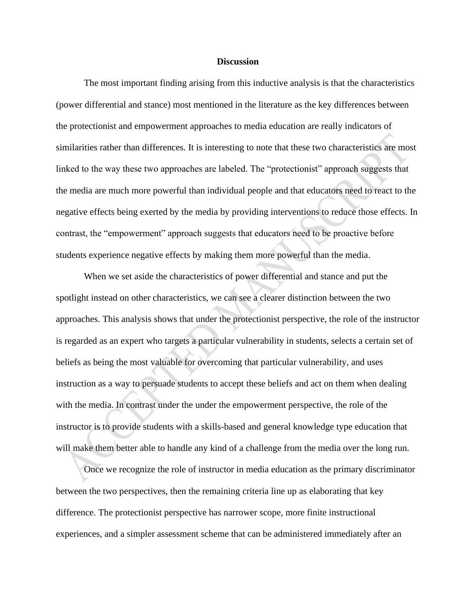#### **Discussion**

The most important finding arising from this inductive analysis is that the characteristics (power differential and stance) most mentioned in the literature as the key differences between the protectionist and empowerment approaches to media education are really indicators of similarities rather than differences. It is interesting to note that these two characteristics are most linked to the way these two approaches are labeled. The "protectionist" approach suggests that the media are much more powerful than individual people and that educators need to react to the negative effects being exerted by the media by providing interventions to reduce those effects. In contrast, the "empowerment" approach suggests that educators need to be proactive before students experience negative effects by making them more powerful than the media.

When we set aside the characteristics of power differential and stance and put the spotlight instead on other characteristics, we can see a clearer distinction between the two approaches. This analysis shows that under the protectionist perspective, the role of the instructor is regarded as an expert who targets a particular vulnerability in students, selects a certain set of beliefs as being the most valuable for overcoming that particular vulnerability, and uses instruction as a way to persuade students to accept these beliefs and act on them when dealing with the media. In contrast under the under the empowerment perspective, the role of the instructor is to provide students with a skills-based and general knowledge type education that will make them better able to handle any kind of a challenge from the media over the long run.

Once we recognize the role of instructor in media education as the primary discriminator between the two perspectives, then the remaining criteria line up as elaborating that key difference. The protectionist perspective has narrower scope, more finite instructional experiences, and a simpler assessment scheme that can be administered immediately after an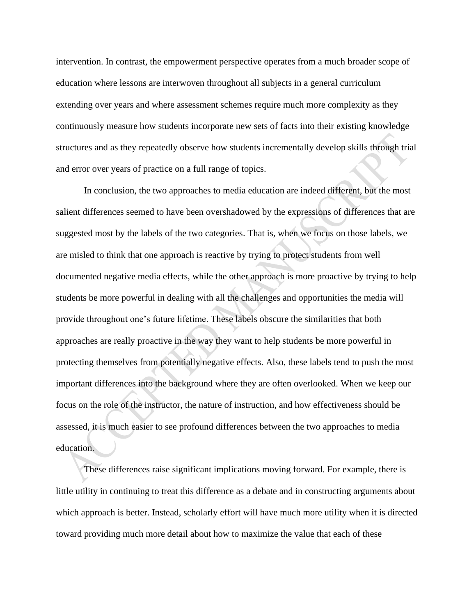intervention. In contrast, the empowerment perspective operates from a much broader scope of education where lessons are interwoven throughout all subjects in a general curriculum extending over years and where assessment schemes require much more complexity as they continuously measure how students incorporate new sets of facts into their existing knowledge structures and as they repeatedly observe how students incrementally develop skills through trial and error over years of practice on a full range of topics.

In conclusion, the two approaches to media education are indeed different, but the most salient differences seemed to have been overshadowed by the expressions of differences that are suggested most by the labels of the two categories. That is, when we focus on those labels, we are misled to think that one approach is reactive by trying to protect students from well documented negative media effects, while the other approach is more proactive by trying to help students be more powerful in dealing with all the challenges and opportunities the media will provide throughout one's future lifetime. These labels obscure the similarities that both approaches are really proactive in the way they want to help students be more powerful in protecting themselves from potentially negative effects. Also, these labels tend to push the most important differences into the background where they are often overlooked. When we keep our focus on the role of the instructor, the nature of instruction, and how effectiveness should be assessed, it is much easier to see profound differences between the two approaches to media education.

These differences raise significant implications moving forward. For example, there is little utility in continuing to treat this difference as a debate and in constructing arguments about which approach is better. Instead, scholarly effort will have much more utility when it is directed toward providing much more detail about how to maximize the value that each of these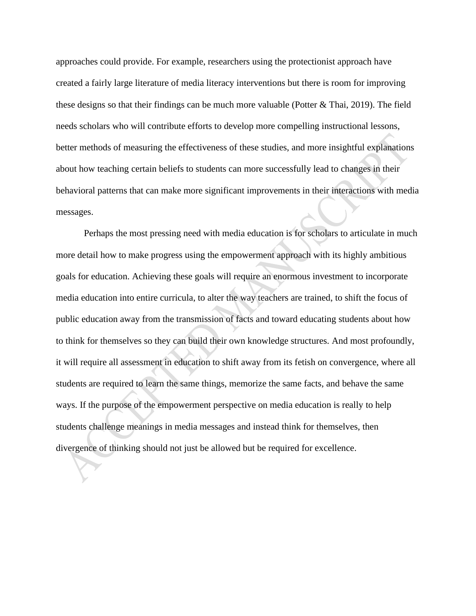approaches could provide. For example, researchers using the protectionist approach have created a fairly large literature of media literacy interventions but there is room for improving these designs so that their findings can be much more valuable (Potter & Thai, 2019). The field needs scholars who will contribute efforts to develop more compelling instructional lessons, better methods of measuring the effectiveness of these studies, and more insightful explanations about how teaching certain beliefs to students can more successfully lead to changes in their behavioral patterns that can make more significant improvements in their interactions with media messages.

Perhaps the most pressing need with media education is for scholars to articulate in much more detail how to make progress using the empowerment approach with its highly ambitious goals for education. Achieving these goals will require an enormous investment to incorporate media education into entire curricula, to alter the way teachers are trained, to shift the focus of public education away from the transmission of facts and toward educating students about how to think for themselves so they can build their own knowledge structures. And most profoundly, it will require all assessment in education to shift away from its fetish on convergence, where all students are required to learn the same things, memorize the same facts, and behave the same ways. If the purpose of the empowerment perspective on media education is really to help students challenge meanings in media messages and instead think for themselves, then divergence of thinking should not just be allowed but be required for excellence.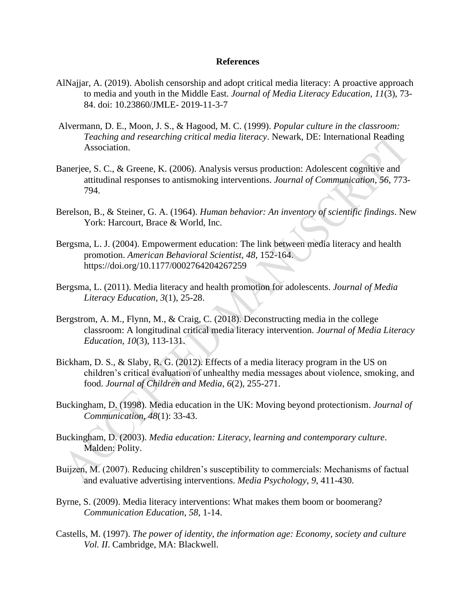#### **References**

- AlNajjar, A. (2019). Abolish censorship and adopt critical media literacy: A proactive approach to media and youth in the Middle East. *Journal of Media Literacy Education, 11*(3), 73- 84. doi: 10.23860/JMLE- 2019-11-3-7
- Alvermann, D. E., Moon, J. S., & Hagood, M. C. (1999). *Popular culture in the classroom: Teaching and researching critical media literacy*. Newark, DE: International Reading Association.
- Banerjee, S. C., & Greene, K. (2006). Analysis versus production: Adolescent cognitive and attitudinal responses to antismoking interventions. *Journal of Communication*, *56*, 773- 794.
- Berelson, B., & Steiner, G. A. (1964). *Human behavior: An inventory of scientific findings*. New York: Harcourt, Brace & World, Inc.
- Bergsma, L. J. (2004). Empowerment education: The link between media literacy and health promotion. *American Behavioral Scientist, 48*, 152-164. [https://doi.org/10.1177/0002764204267259](https://doi.org/10.1177%2F0002764204267259)
- Bergsma, L. (2011). Media literacy and health promotion for adolescents. *Journal of Media Literacy Education, 3*(1), 25-28.
- Bergstrom, A. M., Flynn, M., & Craig, C. (2018). Deconstructing media in the college classroom: A longitudinal critical media literacy intervention. *Journal of Media Literacy Education, 10*(3), 113-131.
- Bickham, D. S., & Slaby, R. G. (2012). Effects of a media literacy program in the US on children's critical evaluation of unhealthy media messages about violence, smoking, and food. *Journal of Children and Media*, *6*(2), 255-271.
- Buckingham, D. (1998). Media education in the UK: Moving beyond protectionism. *Journal of Communication, 48*(1): 33-43.
- Buckingham, D. (2003). *Media education: Literacy, learning and contemporary culture*. Malden: Polity.
- Buijzen, M. (2007). Reducing children's susceptibility to commercials: Mechanisms of factual and evaluative advertising interventions. *Media Psychology*, *9*, 411-430.
- Byrne, S. (2009). Media literacy interventions: What makes them boom or boomerang? *Communication Education*, *58*, 1-14.
- Castells, M. (1997). *The power of identity, the information age: Economy, society and culture Vol. II*. Cambridge, MA: Blackwell.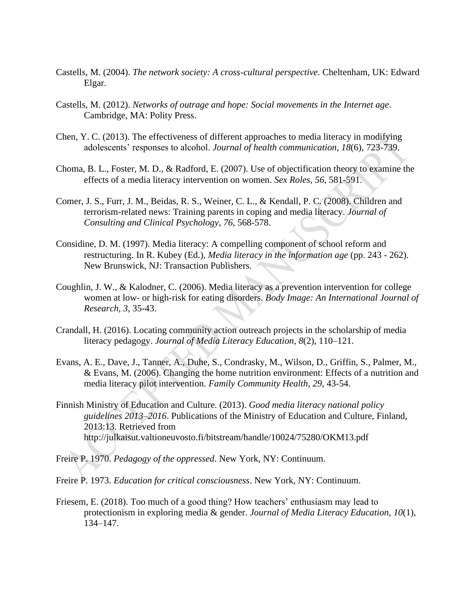- Castells, M. (2004). *The network society: A cross-cultural perspective*. Cheltenham, UK: Edward Elgar.
- Castells, M. (2012). *Networks of outrage and hope: Social movements in the Internet age*. Cambridge, MA: Polity Press.
- Chen, Y. C. (2013). The effectiveness of different approaches to media literacy in modifying adolescents' responses to alcohol. *Journal of health communication*, *18*(6), 723-739.
- Choma, B. L., Foster, M. D., & Radford, E. (2007). Use of objectification theory to examine the effects of a media literacy intervention on women. *Sex Roles*, *56*, 581-591.
- Comer, J. S., Furr, J. M., Beidas, R. S., Weiner, C. L., & Kendall, P. C. (2008). Children and terrorism-related news: Training parents in coping and media literacy. *Journal of Consulting and Clinical Psychology*, *76*, 568-578.
- Considine, D. M. (1997). Media literacy: A compelling component of school reform and restructuring. In R. Kubey (Ed.), *Media literacy in the information age* (pp. 243 - 262). New Brunswick, NJ: Transaction Publishers.
- Coughlin, J. W., & Kalodner, C. (2006). Media literacy as a prevention intervention for college women at low- or high-risk for eating disorders. *Body Image: An International Journal of Research*, *3*, 35-43.
- Crandall, H. (2016). Locating community action outreach projects in the scholarship of media literacy pedagogy. *Journal of Media Literacy Education*, *8*(2), 110–121.
- Evans, A. E., Dave, J., Tanner, A., Duhe, S., Condrasky, M., Wilson, D., Griffin, S., Palmer, M., & Evans, M. (2006). Changing the home nutrition environment: Effects of a nutrition and media literacy pilot intervention. *Family Community Health*, *29*, 43-54.
- Finnish Ministry of Education and Culture. (2013). *Good media literacy national policy guidelines 2013–2016*. Publications of the Ministry of Education and Culture, Finland, 2013:13. Retrieved from http://julkaisut.valtioneuvosto.fi/bitstream/handle/10024/75280/OKM13.pdf
- Freire P. 1970. *Pedagogy of the oppressed*. New York, NY: Continuum.
- Freire P. 1973. *Education for critical consciousness*. New York, NY: Continuum.
- Friesem, E. (2018). Too much of a good thing? How teachers' enthusiasm may lead to protectionism in exploring media & gender. *Journal of Media Literacy Education*, *10*(1), 134–147.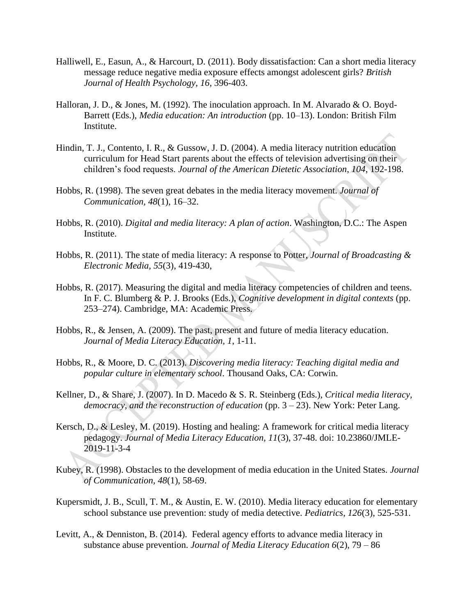- Halliwell, E., Easun, A., & Harcourt, D. (2011). Body dissatisfaction: Can a short media literacy message reduce negative media exposure effects amongst adolescent girls? *British Journal of Health Psychology*, *16,* 396-403.
- Halloran, J. D., & Jones, M. (1992). The inoculation approach. In M. Alvarado & O. Boyd-Barrett (Eds.), *Media education: An introduction* (pp. 10–13). London: British Film Institute.
- Hindin, T. J., Contento, I. R., & Gussow, J. D. (2004). A media literacy nutrition education curriculum for Head Start parents about the effects of television advertising on their children's food requests. *Journal of the American Dietetic Association*, *104*, 192-198.
- Hobbs, R. (1998). The seven great debates in the media literacy movement. *Journal of Communication, 48*(1), 16–32.
- Hobbs, R. (2010). *Digital and media literacy: A plan of action*. Washington, D.C.: The Aspen Institute.
- Hobbs, R. (2011). The state of media literacy: A response to Potter, *Journal of Broadcasting & Electronic Media, 55*(3), 419-430,
- Hobbs, R. (2017). Measuring the digital and media literacy competencies of children and teens. In F. C. Blumberg & P. J. Brooks (Eds.), *Cognitive development in digital contexts* (pp. 253–274). Cambridge, MA: Academic Press.
- Hobbs, R., & Jensen, A. (2009). The past, present and future of media literacy education. *Journal of Media Literacy Education, 1*, 1-11.
- Hobbs, R., & Moore, D. C. (2013). *Discovering media literacy: Teaching digital media and popular culture in elementary school*. Thousand Oaks, CA: Corwin.
- Kellner, D., & Share, J. (2007). In D. Macedo & S. R. Steinberg (Eds.), *Critical media literacy, democracy, and the reconstruction of education* (pp. 3 – 23). New York: Peter Lang.
- Kersch, D., & Lesley, M. (2019). Hosting and healing: A framework for critical media literacy pedagogy. *Journal of Media Literacy Education, 11*(3), 37-48. doi: 10.23860/JMLE-2019-11-3-4
- Kubey, R. (1998). Obstacles to the development of media education in the United States. *Journal of Communication, 48*(1), 58-69.
- Kupersmidt, J. B., Scull, T. M., & Austin, E. W. (2010). Media literacy education for elementary school substance use prevention: study of media detective. *Pediatrics*, *126*(3), 525-531.
- Levitt, A., & Denniston, B. (2014). Federal agency efforts to advance media literacy in substance abuse prevention. *Journal of Media Literacy Education 6*(2), 79 – 86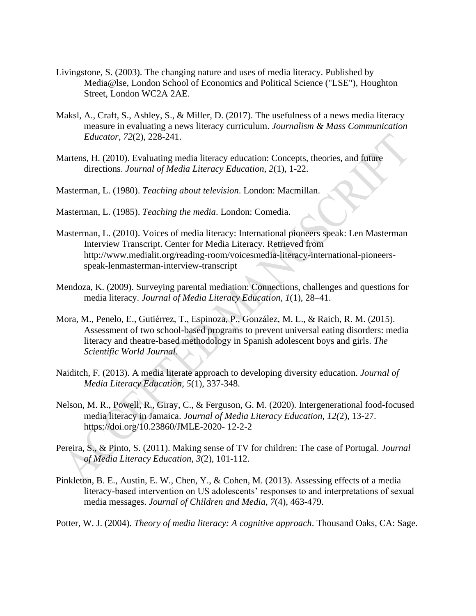- Livingstone, S. (2003). The changing nature and uses of media literacy. Published by Media@lse, London School of Economics and Political Science ("LSE"), Houghton Street, London WC2A 2AE.
- Maksl, A., Craft, S., Ashley, S., & Miller, D. (2017). The usefulness of a news media literacy measure in evaluating a news literacy curriculum. *Journalism & Mass Communication Educator*, *72*(2), 228-241.
- Martens, H. (2010). [Evaluating media literacy education: Concepts, theories, and future](http://web.a.ebscohost.com.proxy.library.ucsb.edu:2048/ehost/viewarticle/render?data=dGJyMPPp44rp2%2fdV0%2bnjisfk5Ie46bFLs6e0S7Gk63nn5Kx95uXxjL6vrUm1pbBIsKaeSbCwskq4qrA4zsOkjPDX7Ivf2fKB7eTnfLujt1C3p7BLtqezPurX7H%2b72%2bw%2b4ti7ffPbpIzf3btZzJzfhrursE22rq5JtJzkh%2fDj34y73POE6urjkPIA&vid=2&sid=72ce810a-8377-44d0-ba57-e97d8894dbd8@sessionmgr4007)  [directions.](http://web.a.ebscohost.com.proxy.library.ucsb.edu:2048/ehost/viewarticle/render?data=dGJyMPPp44rp2%2fdV0%2bnjisfk5Ie46bFLs6e0S7Gk63nn5Kx95uXxjL6vrUm1pbBIsKaeSbCwskq4qrA4zsOkjPDX7Ivf2fKB7eTnfLujt1C3p7BLtqezPurX7H%2b72%2bw%2b4ti7ffPbpIzf3btZzJzfhrursE22rq5JtJzkh%2fDj34y73POE6urjkPIA&vid=2&sid=72ce810a-8377-44d0-ba57-e97d8894dbd8@sessionmgr4007) *Journal of Media Literacy Education, 2*(1), 1-22.
- Masterman, L. (1980). *Teaching about television*. London: Macmillan.
- Masterman, L. (1985). *Teaching the media*. London: Comedia.
- Masterman, L. (2010). Voices of media literacy: International pioneers speak: Len Masterman Interview Transcript. Center for Media Literacy. Retrieved from http://www.medialit.org/reading-room/voicesmedia-literacy-international-pioneersspeak-lenmasterman-interview-transcript
- Mendoza, K. (2009). Surveying parental mediation: Connections, challenges and questions for media literacy. *Journal of Media Literacy Education*, *1*(1), 28–41.
- Mora, M., Penelo, E., Gutiérrez, T., Espinoza, P., González, M. L., & Raich, R. M. (2015). Assessment of two school-based programs to prevent universal eating disorders: media literacy and theatre-based methodology in Spanish adolescent boys and girls. *The Scientific World Journal*.
- Naiditch, F. (2013). A media literate approach to developing diversity education. *Journal of Media Literacy Education*, *5*(1), 337-348.
- Nelson, M. R., Powell, R., Giray, C., & Ferguson, G. M. (2020). Intergenerational food-focused media literacy in Jamaica. *Journal of Media Literacy Education, 12(*2), 13-27. https://doi.org/10.23860/JMLE-2020- 12-2-2
- Pereira, S., & Pinto, S. (2011). Making sense of TV for children: The case of Portugal. *Journal of Media Literacy Education*, *3*(2), 101-112.
- Pinkleton, B. E., Austin, E. W., Chen, Y., & Cohen, M. (2013). Assessing effects of a media literacy-based intervention on US adolescents' responses to and interpretations of sexual media messages. *Journal of Children and Media*, *7*(4), 463-479.
- Potter, W. J. (2004). *Theory of media literacy: A cognitive approach*. Thousand Oaks, CA: Sage.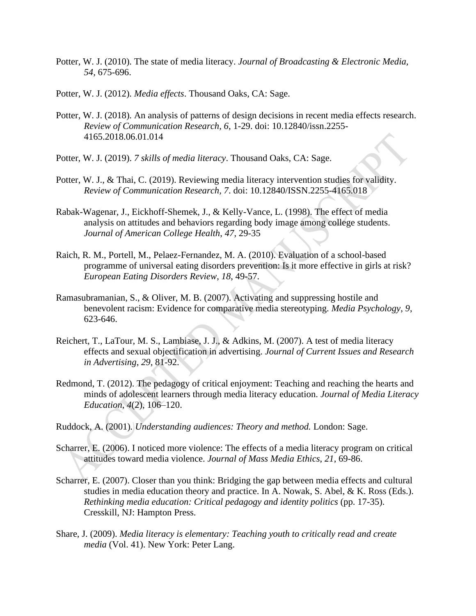- Potter, W. J. (2010). The state of media literacy. *Journal of Broadcasting & Electronic Media, 54,* 675-696.
- Potter, W. J. (2012). *Media effects*. Thousand Oaks, CA: Sage.
- Potter, W. J. (2018). An analysis of patterns of design decisions in recent media effects research. *Review of Communication Research, 6*, 1-29. doi: 10.12840/issn.2255- 4165.2018.06.01.014
- Potter, W. J. (2019). *7 skills of media literacy*. Thousand Oaks, CA: Sage.
- Potter, W. J., & Thai, C. (2019). Reviewing media literacy intervention studies for validity. *Review of Communication Research, 7*. doi: 10.12840/ISSN.2255-4165.018
- Rabak-Wagenar, J., Eickhoff-Shemek, J., & Kelly-Vance, L. (1998). The effect of media analysis on attitudes and behaviors regarding body image among college students. *Journal of American College Health*, *47*, 29-35
- Raich, R. M., Portell, M., Pelaez-Fernandez, M. A. (2010). Evaluation of a school-based programme of universal eating disorders prevention: Is it more effective in girls at risk? *European Eating Disorders Review*, *18*, 49-57.
- Ramasubramanian, S., & Oliver, M. B. (2007). Activating and suppressing hostile and benevolent racism: Evidence for comparative media stereotyping. *Media Psychology*, *9*, 623-646.
- Reichert, T., LaTour, M. S., Lambiase, J. J., & Adkins, M. (2007). A test of media literacy effects and sexual objectification in advertising. *Journal of Current Issues and Research in Advertising*, *29*, 81-92.
- Redmond, T. (2012). The pedagogy of critical enjoyment: Teaching and reaching the hearts and minds of adolescent learners through media literacy education. *Journal of Media Literacy Education*, *4*(2), 106–120.
- Ruddock, A. (2001)*. Understanding audiences: Theory and method.* London: Sage.
- Scharrer, E. (2006). I noticed more violence: The effects of a media literacy program on critical attitudes toward media violence. *Journal of Mass Media Ethics*, *21*, 69-86.
- Scharrer, E. (2007). Closer than you think: Bridging the gap between media effects and cultural studies in media education theory and practice. In A. Nowak, S. Abel, & K. Ross (Eds.). *Rethinking media education: Critical pedagogy and identity politics* (pp. 17-35). Cresskill, NJ: Hampton Press.
- Share, J. (2009). *Media literacy is elementary: Teaching youth to critically read and create media* (Vol. 41). New York: Peter Lang.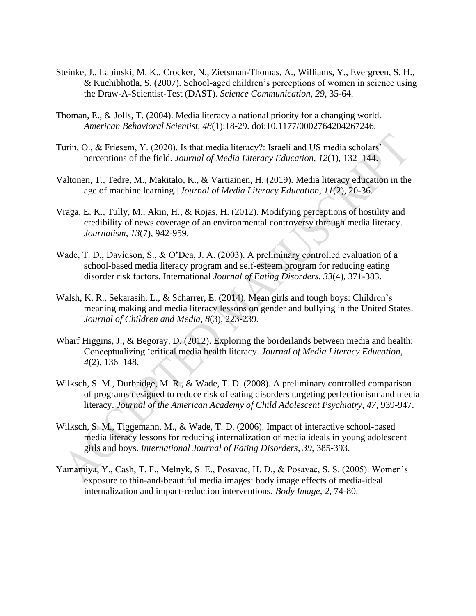- Steinke, J., Lapinski, M. K., Crocker, N., Zietsman-Thomas, A., Williams, Y., Evergreen, S. H., & Kuchibhotla, S. (2007). School-aged children's perceptions of women in science using the Draw-A-Scientist-Test (DAST). *Science Communication, 29*, 35-64.
- Thoman, E., & Jolls, T. (2004). Media literacy a national priority for a changing world. *American Behavioral Scientist, 48*(1):18-29. doi:10.1177/0002764204267246.
- Turin, O., & Friesem, Y. (2020). Is that media literacy?: Israeli and US media scholars' perceptions of the field. *Journal of Media Literacy Education*, *12*(1), 132–144.
- Valtonen, T., Tedre, M., Makitalo, K., & Vartiainen, H. (2019). Media literacy education in the age of machine learning.| *Journal of Media Literacy Education, 11*(2), 20-36.
- Vraga, E. K., Tully, M., Akin, H., & Rojas, H. (2012). Modifying perceptions of hostility and credibility of news coverage of an environmental controversy through media literacy. *Journalism*, *13*(7), 942-959.
- Wade, T. D., Davidson, S., & O'Dea, J. A. (2003). A preliminary controlled evaluation of a school-based media literacy program and self-esteem program for reducing eating disorder risk factors. International *Journal of Eating Disorders*, *33*(4), 371-383.
- Walsh, K. R., Sekarasih, L., & Scharrer, E. (2014). Mean girls and tough boys: Children's meaning making and media literacy lessons on gender and bullying in the United States. *Journal of Children and Media*, *8*(3), 223-239.
- Wharf Higgins, J., & Begoray, D. (2012). Exploring the borderlands between media and health: Conceptualizing 'critical media health literacy. *Journal of Media Literacy Education*, *4*(2), 136–148.
- Wilksch, S. M., Durbridge, M. R., & Wade, T. D. (2008). A preliminary controlled comparison of programs designed to reduce risk of eating disorders targeting perfectionism and media literacy. *Journal of the American Academy of Child Adolescent Psychiatry*, *47*, 939-947.
- Wilksch, S. M., Tiggemann, M., & Wade, T. D. (2006). Impact of interactive school-based media literacy lessons for reducing internalization of media ideals in young adolescent girls and boys. *International Journal of Eating Disorders*, *39*, 385-393.
- Yamamiya, Y., Cash, T. F., Melnyk, S. E., Posavac, H. D., & Posavac, S. S. (2005). Women's exposure to thin-and-beautiful media images: body image effects of media-ideal internalization and impact-reduction interventions. *Body Image*, *2*, 74-80.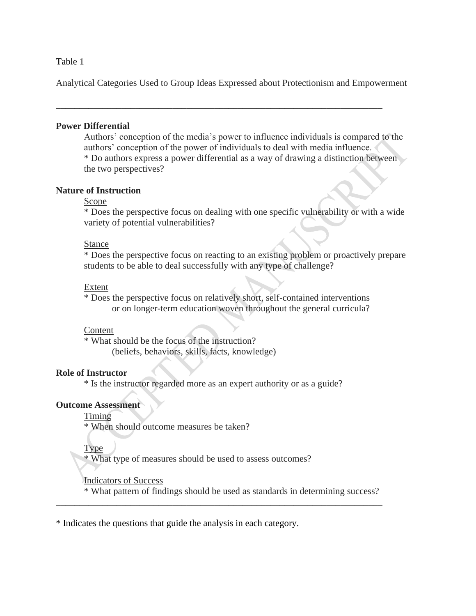#### Table 1

Analytical Categories Used to Group Ideas Expressed about Protectionism and Empowerment

\_\_\_\_\_\_\_\_\_\_\_\_\_\_\_\_\_\_\_\_\_\_\_\_\_\_\_\_\_\_\_\_\_\_\_\_\_\_\_\_\_\_\_\_\_\_\_\_\_\_\_\_\_\_\_\_\_\_\_\_\_\_\_\_\_\_\_\_\_\_

#### **Power Differential**

Authors' conception of the media's power to influence individuals is compared to the authors' conception of the power of individuals to deal with media influence. \* Do authors express a power differential as a way of drawing a distinction between the two perspectives?

# **Nature of Instruction**

# Scope

\* Does the perspective focus on dealing with one specific vulnerability or with a wide variety of potential vulnerabilities?

#### Stance

\* Does the perspective focus on reacting to an existing problem or proactively prepare students to be able to deal successfully with any type of challenge?

#### Extent

\* Does the perspective focus on relatively short, self-contained interventions or on longer-term education woven throughout the general curricula?

#### Content

\* What should be the focus of the instruction? (beliefs, behaviors, skills, facts, knowledge)

# **Role of Instructor**

\* Is the instructor regarded more as an expert authority or as a guide?

# **Outcome Assessment**

Timing

\* When should outcome measures be taken?

Type

\* What type of measures should be used to assess outcomes?

# Indicators of Success

\* What pattern of findings should be used as standards in determining success?

\_\_\_\_\_\_\_\_\_\_\_\_\_\_\_\_\_\_\_\_\_\_\_\_\_\_\_\_\_\_\_\_\_\_\_\_\_\_\_\_\_\_\_\_\_\_\_\_\_\_\_\_\_\_\_\_\_\_\_\_\_\_\_\_\_\_\_\_\_\_

\* Indicates the questions that guide the analysis in each category.